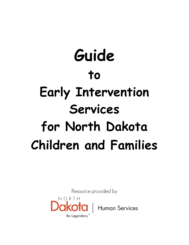# **Guide to Early Intervention Services for North Dakota Children and Families**

Resource provided by

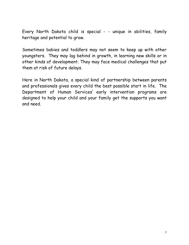Every North Dakota child is special - - unique in abilities, family heritage and potential to grow.

Sometimes babies and toddlers may not seem to keep up with other youngsters. They may lag behind in growth, in learning new skills or in other kinds of development. They may face medical challenges that put them at risk of future delays.

Here in North Dakota, a special kind of partnership between parents and professionals gives every child the best possible start in life. The Department of Human Services' early intervention programs are designed to help your child and your family get the supports you want and need.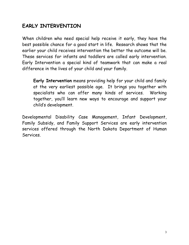# **EARLY INTERVENTION**

When children who need special help receive it early, they have the best possible chance for a good start in life. Research shows that the earlier your child receives intervention the better the outcome will be. These services for infants and toddlers are called early intervention. Early Intervention a special kind of teamwork that can make a real difference in the lives of your child and your family.

**Early Intervention** means providing help for your child and family at the very earliest possible age. It brings you together with specialists who can offer many kinds of services. Working together, you'll learn new ways to encourage and support your child's development.

Developmental Disability Case Management, Infant Development, Family Subsidy, and Family Support Services are early intervention services offered through the North Dakota Department of Human Services.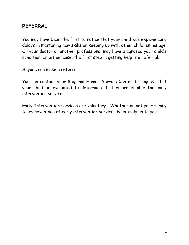#### **REFERRAL**

You may have been the first to notice that your child was experiencing delays in mastering new skills or keeping up with other children his age. Or your doctor or another professional may have diagnosed your child's condition. In either case, the first step in getting help is a referral.

Anyone can make a referral.

You can contact your Regional Human Service Center to request that your child be evaluated to determine if they are eligible for early intervention services.

Early Intervention services are voluntary. Whether or not your family takes advantage of early intervention services is entirely up to you.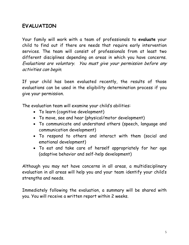# **EVALUATION**

Your family will work with a team of professionals to **evaluate** your child to find out if there are needs that require early intervention services. The team will consist of professionals from at least two different disciplines depending on areas in which you have concerns. Evaluations are voluntary. You must give your permission before any activities can begin.

If your child has been evaluated recently, the results of those evaluations can be used in the eligibility determination process if you give your permission.

The evaluation team will examine your child's abilities:

- To learn (cognitive development)
- To move, see and hear (physical/motor development)
- To communicate and understand others (speech, language and communication development)
- To respond to others and interact with them (social and emotional development)
- To eat and take care of herself appropriately for her age (adaptive behavior and self-help development)

Although you may not have concerns in all areas, a multidisciplinary evaluation in all areas will help you and your team identify your child's strengths and needs.

Immediately following the evaluation, a summary will be shared with you. You will receive a written report within 2 weeks.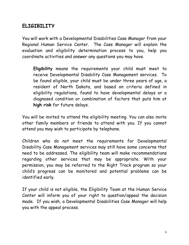## **ELIGIBILITY**

You will work with a Developmental Disabilities Case Manager from your Regional Human Service Center. The Case Manager will explain the evaluation and eligibility determination process to you, help you coordinate activities and answer any questions you may have.

**Eligibility** means the requirements your child must meet to receive Developmental Disability Case Management services. To be found eligible, your child must be under three years of age, a resident of North Dakota, and based on criteria defined in eligibility regulations, found to have developmental delays or a diagnosed condition or combination of factors that puts him at **high risk** for future delays.

You will be invited to attend the eligibility meeting. You can also invite other family members or friends to attend with you. If you cannot attend you may wish to participate by telephone.

Children who do not meet the requirements for Developmental Disability Case Management services may still have some concerns that need to be addressed. The eligibility team will make recommendations regarding other services that may be appropriate. With your permission, you may be referred to the Right Track program so your child's progress can be monitored and potential problems can be identified early.

If your child is not eligible, the Eligibility Team at the Human Service Center will inform you of your right to question/appeal the decision made. If you wish, a Developmental Disabilities Case Manager will help you with the appeal process.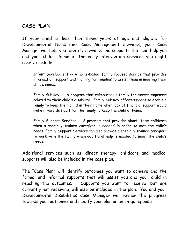# **CASE PLAN**

If your child is less than three years of age and eligible for Developmental Disabilities Case Management services, your Case Manager will help you identify services and supports that can help you and your child. Some of the early intervention services you might receive include:

Infant Development -- A home-based, family focused service that provides information, support and training for families to assist them in meeting their child's needs.

Family Subsidy -- A program that reimburses a family for excess expenses related to their child's disability. Family Subsidy offers support to enable a family to keep their child in their home when lack of financial support would make it very difficult for the family to keep the child at home.

Family Support Services -- A program that provides short- term childcare when a specially trained caregiver is needed in order to met the child's needs. Family Support Services can also provide a specially trained caregiver to work with the family when additional help is needed to meet the child's needs.

Additional services such as, direct therapy, childcare and medical supports will also be included in the case plan.

The "Case Plan" will identify outcomes you want to achieve and the formal and informal supports that will assist you and your child in reaching the outcomes. Supports you want to receive, but are currently not receiving, will also be included in the plan. You and your Developmental Disabilities Case Manager will review the progress towards your outcomes and modify your plan on an on-going basis.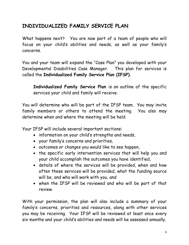# **INDIVIDUALIZED FAMILY SERVICE PLAN**

What happens next? You are now part of a team of people who will focus on your child's abilities and needs, as well as your family's concerns.

You and your team will expand the "Case Plan" you developed with your Developmental Disabilities Case Manager. This plan for services is called the **Individualized Family Service Plan (IFSP).** 

**Individualized Family Service Plan** is an outline of the specific services your child and family will receive.

You will determine who will be part of the IFSP team. You may invite family members or others to attend the meeting. You also may determine when and where the meeting will be held.

Your IFSP will include several important sections:

- information on your child's strengths and needs,
- your family's concerns and priorities,
- outcomes or changes you would like to see happen,
- the specific early intervention services that will help you and your child accomplish the outcomes you have identified,
- details of where the services will be provided, when and how often these services will be provided, what the funding source will be, and who will work with you, and
- when the IFSP will be reviewed and who will be part of that review.

With your permission, the plan will also include a summary of your family's concerns, priorities and resources, along with other services you may be receiving. Your IFSP will be reviewed at least once every six months and your child's abilities and needs will be assessed annually.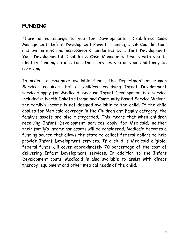#### **FUNDING**

There is no charge to you for Developmental Disabilities Case Management, Infant Development Parent Training, IFSP Coordination, and evaluations and assessments conducted by Infant Development. Your Developmental Disabilities Case Manager will work with you to identify funding options for other services you or your child may be receiving.

In order to maximize available funds, the Department of Human Services requires that all children receiving Infant Development services apply for Medicaid. Because Infant Development is a service included in North Dakota's Home and Community Based Service Waiver, the family's income is not deemed available to the child. If the child applies for Medicaid coverage in the Children and Family category, the family's assets are also disregarded. This means that when children receiving Infant Development services apply for Medicaid, neither their family's income nor assets will be considered. Medicaid becomes a funding source that allows the state to collect federal dollars to help provide Infant Development services. If a child is Medicaid eligible, federal funds will cover approximately 70 percentage of the cost of delivering Infant Development services. In addition to the Infant Development costs, Medicaid is also available to assist with direct therapy, equipment and other medical needs of the child.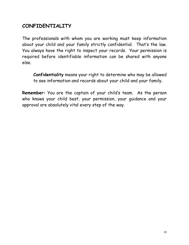## **CONFIDENTIALITY**

The professionals with whom you are working must keep information about your child and your family strictly confidential. That's the law. You always have the right to inspect your records. Your permission is required before identifiable information can be shared with anyone else.

**Confidentiality** means your right to determine who may be allowed to see information and records about your child and your family.

**Remember:** You are the captain of your child's team. As the person who knows your child best, your permission, your guidance and your approval are absolutely vital every step of the way.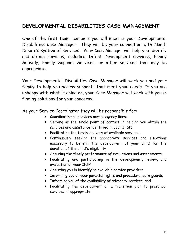## **DEVELOPMENTAL DISABILITIES CASE MANAGEMENT**

One of the first team members you will meet is your Developmental Disabilities Case Manager. They will be your connection with North Dakota's system of services. Your Case Manager will help you identify and obtain services, including Infant Development services, Family Subsidy, Family Support Services, or other services that may be appropriate.

Your Developmental Disabilities Case Manager will work you and your family to help you access supports that meet your needs. If you are unhappy with what is going on, your Case Manager will work with you in finding solutions for your concerns.

As your Service Coordinator they will be responsible for:

- Coordinating all services across agency lines;
- Serving as the single point of contact in helping you obtain the services and assistance identified in your IFSP;
- Facilitating the timely delivery of available services;
- Continuously seeking the appropriate services and situations necessary to benefit the development of your child for the duration of the child's eligibility
- Assuring the timely performance of evaluations and assessments;
- Facilitating and participating in the development, review, and evaluation of your IFSP
- Assisting you in identifying available service providers
- Informing you of your parental rights and procedural safe guards
- Informing you of the availability of advocacy services; and
- Facilitating the development of a transition plan to preschool services, if appropriate.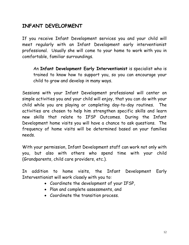# **INFANT DEVELOPMENT**

If you receive Infant Development services you and your child will meet regularly with an Infant Development early interventionist professional. Usually she will come to your home to work with you in comfortable, familiar surroundings.

An **Infant Development Early Interventionist** is specialist who is trained to know how to support you, so you can encourage your child to grow and develop in many ways.

Sessions with your Infant Development professional will center on simple activities you and your child will enjoy, that you can do with your child while you are playing or completing day-to-day routines. The activities are chosen to help him strengthen specific skills and learn new skills that relate to IFSP Outcomes. During the Infant Development home visits you will have a chance to ask questions. The frequency of home visits will be determined based on your families needs.

With your permission, Infant Development staff can work not only with you, but also with others who spend time with your child (Grandparents, child care providers, etc.).

In addition to home visits, the Infant Development Early Interventionist will work closely with you to:

- Coordinate the development of your IFSP,
- Plan and complete assessments, and
- Coordinate the transition process.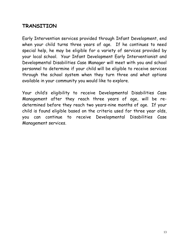## **TRANSITION**

Early Intervention services provided through Infant Development, end when your child turns three years of age. If he continues to need special help, he may be eligible for a variety of services provided by your local school. Your Infant Development Early Interventionist and Developmental Disabilities Case Manager will meet with you and school personnel to determine if your child will be eligible to receive services through the school system when they turn three and what options available in your community you would like to explore.

Your child's eligibility to receive Developmental Disabilities Case Management after they reach three years of age, will be redetermined before they reach two years-nine months of age. If your child is found eligible based on the criteria used for three year olds, you can continue to receive Developmental Disabilities Case Management services.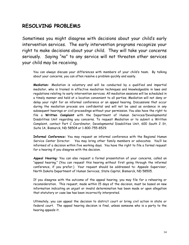#### **RESOLVING PROBLEMS**

Sometimes you might disagree with decisions about your child's early intervention services. The early intervention programs recognize your right to make decisions about your child. They will take your concerns seriously. Saying "no" to any service will not threaten other services your child may be receiving.

You can always discuss your differences with members of your child's team. By talking about your concerns, you can often resolve a problem quickly and easily.

**Mediation:** Mediation is voluntary and will be conducted by a qualified and impartial mediator, who is trained in effective mediation techniques and knowledgeable in laws and regulations relating to early intervention services. All mediation sessions will be scheduled in a timely manner and held at a location convenient to all parties. Mediation will not deny or delay your right for an informal conference or an appeal hearing. Discussions that occur during the mediation process are confidential and will not be used as evidence in any subsequent hearings or civil proceedings without your permission. You also have the right to file a **Written Complaint** with the Department of Human Services/Developmental Disabilities Unit regarding you concerns. To request Mediation or to submit a Written Complaint, contact Part C Coordinator, Developmental Disabilities Unit, 600 South 2 St, Suite 1A, Bismarck, ND 58504 or 1-800-755-8529.

**Informal Conference:** You may request an informal conference with the Regional Human Service Center Director. You may bring other family members or advocates. You'll be informed of a decision within five working days. You have the right to file a formal request for a hearing if you disagree with the decision.

**Appeal Hearing:** You can also request a formal presentation of your concerns, called an "appeal hearing." (You can request this hearing without first going through the informal conference, if you prefer.) Your request should be addressed to: Appeals Supervisor, North Dakota Department of Human Services, State Capitol, Bismarck, ND 58505.

If you disagree with the outcome of the appeal hearing, you may file for a rehearing or reconsideration. This request, made within 15 days of the decision, must be based on new information indicating an unjust or invalid determination has been made or upon allegation that statutory or case law has been incorrectly interpreted.

Ultimately, you can appeal the decision to district court or bring civil action in state or federal court. The appeal hearing decision is final, unless someone who is a party to the hearing appeals it.